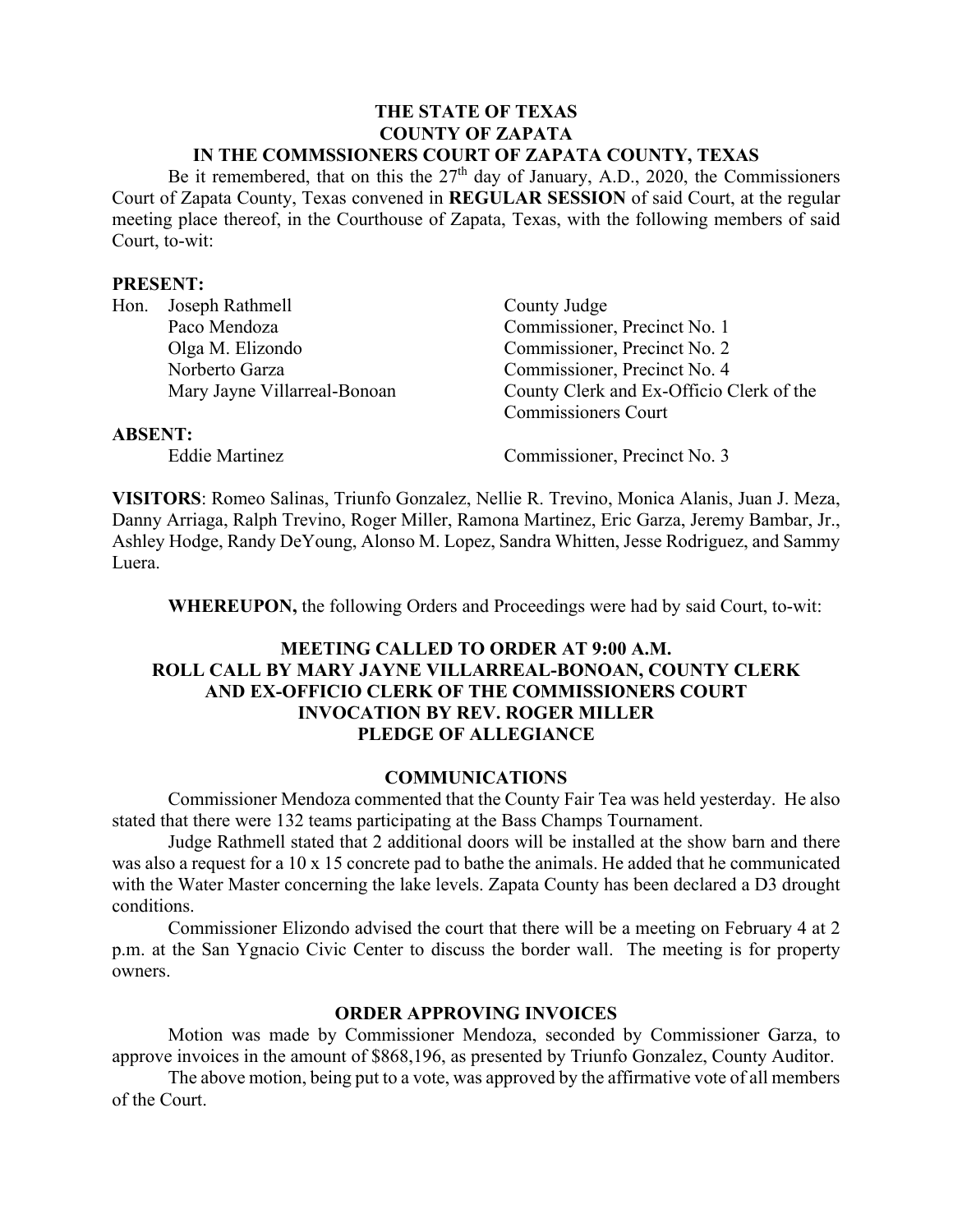#### **THE STATE OF TEXAS COUNTY OF ZAPATA IN THE COMMSSIONERS COURT OF ZAPATA COUNTY, TEXAS**

Be it remembered, that on this the  $27<sup>th</sup>$  day of January, A.D., 2020, the Commissioners Court of Zapata County, Texas convened in **REGULAR SESSION** of said Court, at the regular meeting place thereof, in the Courthouse of Zapata, Texas, with the following members of said Court, to-wit:

#### **PRESENT:**

| Hon.           | Joseph Rathmell              | County Judge                             |
|----------------|------------------------------|------------------------------------------|
|                | Paco Mendoza                 | Commissioner, Precinct No. 1             |
|                | Olga M. Elizondo             | Commissioner, Precinct No. 2             |
|                | Norberto Garza               | Commissioner, Precinct No. 4             |
|                | Mary Jayne Villarreal-Bonoan | County Clerk and Ex-Officio Clerk of the |
|                |                              | <b>Commissioners Court</b>               |
| <b>ABSENT:</b> |                              |                                          |
|                | <b>Eddie Martinez</b>        | Commissioner, Precinct No. 3             |

**VISITORS**: Romeo Salinas, Triunfo Gonzalez, Nellie R. Trevino, Monica Alanis, Juan J. Meza, Danny Arriaga, Ralph Trevino, Roger Miller, Ramona Martinez, Eric Garza, Jeremy Bambar, Jr., Ashley Hodge, Randy DeYoung, Alonso M. Lopez, Sandra Whitten, Jesse Rodriguez, and Sammy Luera.

**WHEREUPON,** the following Orders and Proceedings were had by said Court, to-wit:

## **MEETING CALLED TO ORDER AT 9:00 A.M. ROLL CALL BY MARY JAYNE VILLARREAL-BONOAN, COUNTY CLERK AND EX-OFFICIO CLERK OF THE COMMISSIONERS COURT INVOCATION BY REV. ROGER MILLER PLEDGE OF ALLEGIANCE**

#### **COMMUNICATIONS**

Commissioner Mendoza commented that the County Fair Tea was held yesterday. He also stated that there were 132 teams participating at the Bass Champs Tournament.

Judge Rathmell stated that 2 additional doors will be installed at the show barn and there was also a request for a 10 x 15 concrete pad to bathe the animals. He added that he communicated with the Water Master concerning the lake levels. Zapata County has been declared a D3 drought conditions.

Commissioner Elizondo advised the court that there will be a meeting on February 4 at 2 p.m. at the San Ygnacio Civic Center to discuss the border wall. The meeting is for property owners.

#### **ORDER APPROVING INVOICES**

Motion was made by Commissioner Mendoza, seconded by Commissioner Garza, to approve invoices in the amount of \$868,196, as presented by Triunfo Gonzalez, County Auditor.

The above motion, being put to a vote, was approved by the affirmative vote of all members of the Court.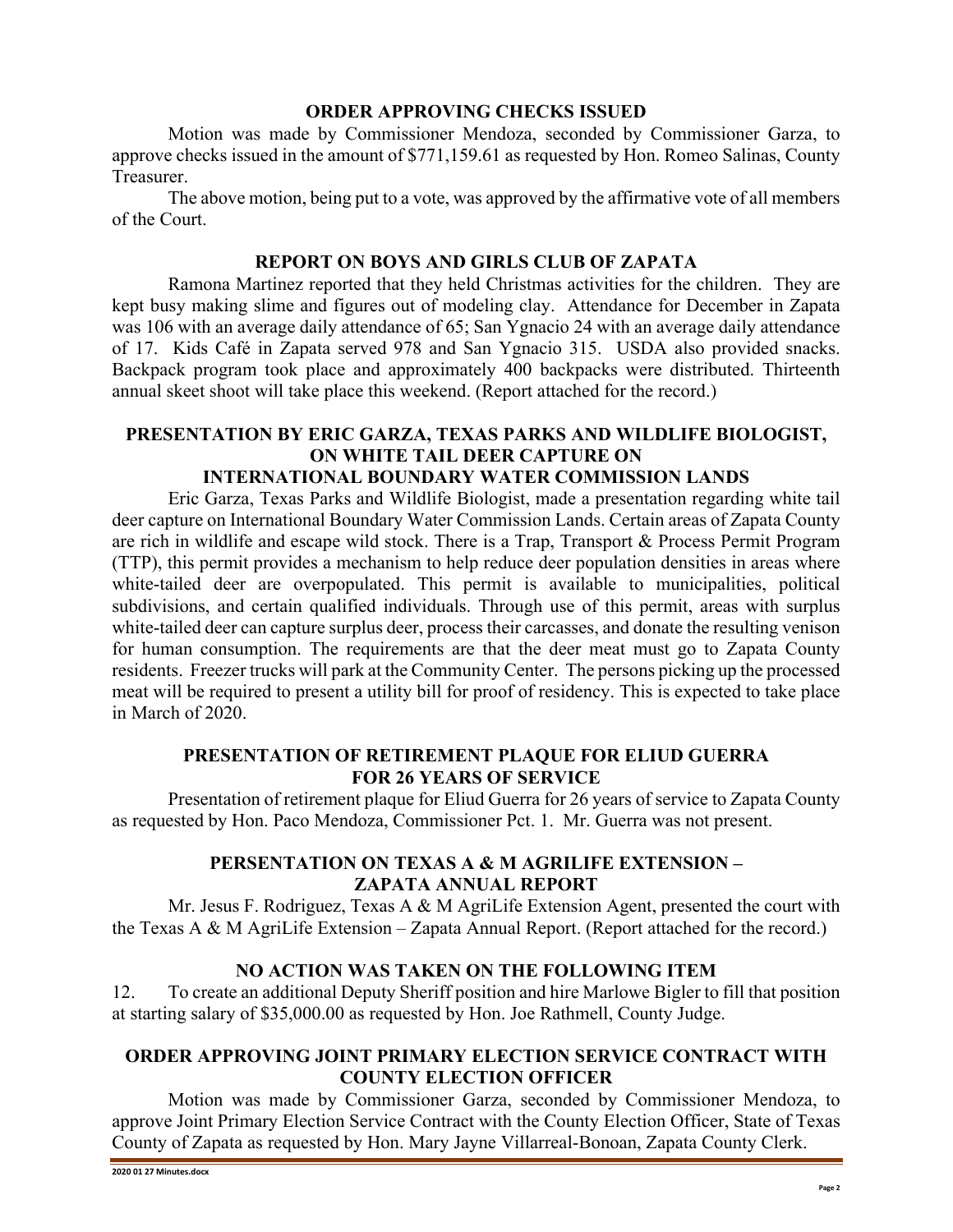#### **ORDER APPROVING CHECKS ISSUED**

Motion was made by Commissioner Mendoza, seconded by Commissioner Garza, to approve checks issued in the amount of \$771,159.61 as requested by Hon. Romeo Salinas, County Treasurer.

The above motion, being put to a vote, was approved by the affirmative vote of all members of the Court.

#### **REPORT ON BOYS AND GIRLS CLUB OF ZAPATA**

Ramona Martinez reported that they held Christmas activities for the children. They are kept busy making slime and figures out of modeling clay. Attendance for December in Zapata was 106 with an average daily attendance of 65; San Ygnacio 24 with an average daily attendance of 17. Kids Café in Zapata served 978 and San Ygnacio 315. USDA also provided snacks. Backpack program took place and approximately 400 backpacks were distributed. Thirteenth annual skeet shoot will take place this weekend. (Report attached for the record.)

# **PRESENTATION BY ERIC GARZA, TEXAS PARKS AND WILDLIFE BIOLOGIST, ON WHITE TAIL DEER CAPTURE ON**

## **INTERNATIONAL BOUNDARY WATER COMMISSION LANDS**

Eric Garza, Texas Parks and Wildlife Biologist, made a presentation regarding white tail deer capture on International Boundary Water Commission Lands. Certain areas of Zapata County are rich in wildlife and escape wild stock. There is a Trap, Transport & Process Permit Program (TTP), this permit provides a mechanism to help reduce deer population densities in areas where white-tailed deer are overpopulated. This permit is available to municipalities, political subdivisions, and certain qualified individuals. Through use of this permit, areas with surplus white-tailed deer can capture surplus deer, process their carcasses, and donate the resulting venison for human consumption. The requirements are that the deer meat must go to Zapata County residents. Freezer trucks will park at the Community Center. The persons picking up the processed meat will be required to present a utility bill for proof of residency. This is expected to take place in March of 2020.

#### **PRESENTATION OF RETIREMENT PLAQUE FOR ELIUD GUERRA FOR 26 YEARS OF SERVICE**

Presentation of retirement plaque for Eliud Guerra for 26 years of service to Zapata County as requested by Hon. Paco Mendoza, Commissioner Pct. 1. Mr. Guerra was not present.

## **PERSENTATION ON TEXAS A & M AGRILIFE EXTENSION – ZAPATA ANNUAL REPORT**

Mr. Jesus F. Rodriguez, Texas A & M AgriLife Extension Agent, presented the court with the Texas A & M AgriLife Extension – Zapata Annual Report. (Report attached for the record.)

## **NO ACTION WAS TAKEN ON THE FOLLOWING ITEM**

12. To create an additional Deputy Sheriff position and hire Marlowe Bigler to fill that position at starting salary of \$35,000.00 as requested by Hon. Joe Rathmell, County Judge.

## **ORDER APPROVING JOINT PRIMARY ELECTION SERVICE CONTRACT WITH COUNTY ELECTION OFFICER**

Motion was made by Commissioner Garza, seconded by Commissioner Mendoza, to approve Joint Primary Election Service Contract with the County Election Officer, State of Texas County of Zapata as requested by Hon. Mary Jayne Villarreal-Bonoan, Zapata County Clerk.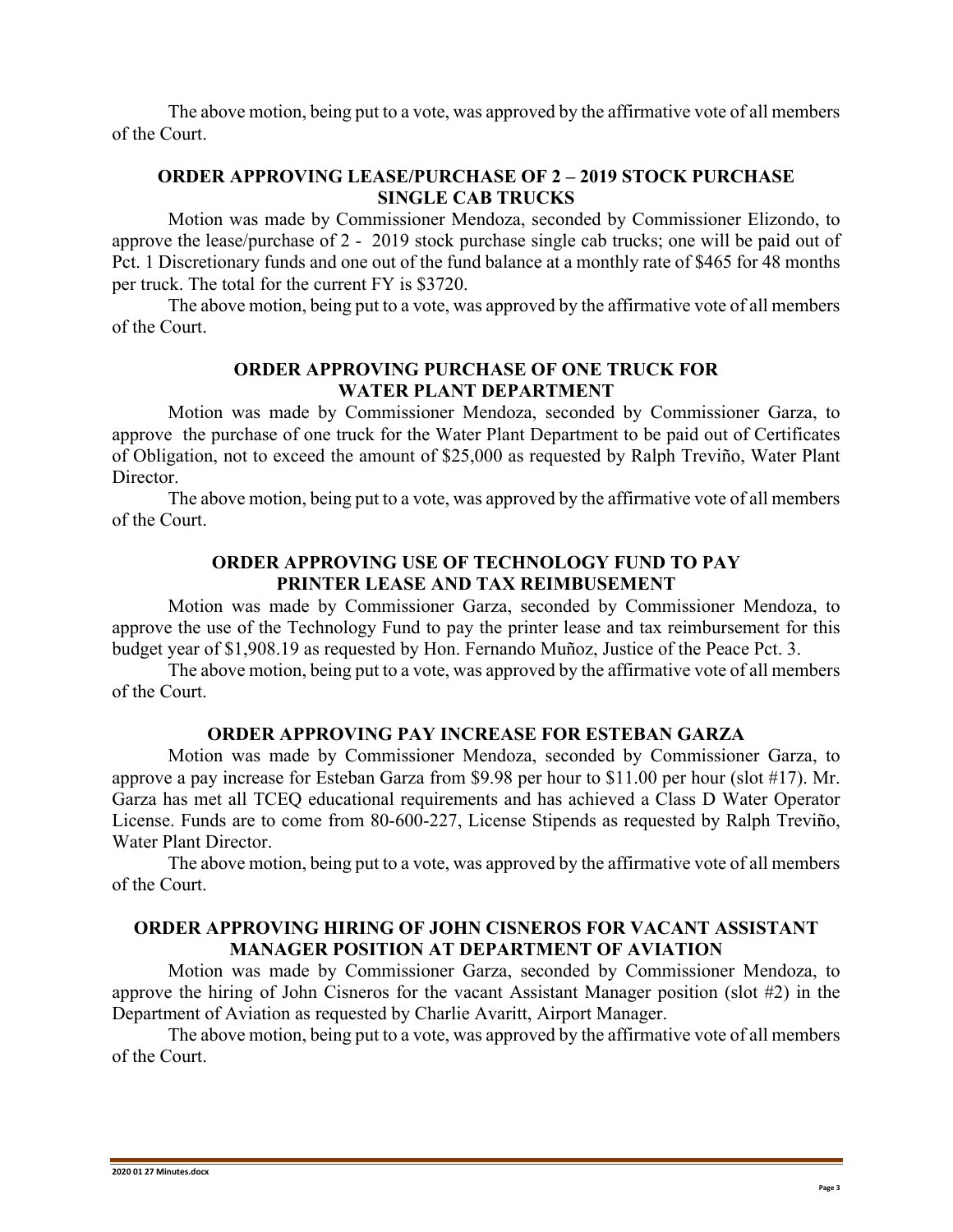The above motion, being put to a vote, was approved by the affirmative vote of all members of the Court.

## **ORDER APPROVING LEASE/PURCHASE OF 2 – 2019 STOCK PURCHASE SINGLE CAB TRUCKS**

Motion was made by Commissioner Mendoza, seconded by Commissioner Elizondo, to approve the lease/purchase of 2 - 2019 stock purchase single cab trucks; one will be paid out of Pct. 1 Discretionary funds and one out of the fund balance at a monthly rate of \$465 for 48 months per truck. The total for the current FY is \$3720.

The above motion, being put to a vote, was approved by the affirmative vote of all members of the Court.

## **ORDER APPROVING PURCHASE OF ONE TRUCK FOR WATER PLANT DEPARTMENT**

Motion was made by Commissioner Mendoza, seconded by Commissioner Garza, to approve the purchase of one truck for the Water Plant Department to be paid out of Certificates of Obligation, not to exceed the amount of \$25,000 as requested by Ralph Treviño, Water Plant Director.

The above motion, being put to a vote, was approved by the affirmative vote of all members of the Court.

#### **ORDER APPROVING USE OF TECHNOLOGY FUND TO PAY PRINTER LEASE AND TAX REIMBUSEMENT**

Motion was made by Commissioner Garza, seconded by Commissioner Mendoza, to approve the use of the Technology Fund to pay the printer lease and tax reimbursement for this budget year of \$1,908.19 as requested by Hon. Fernando Muñoz, Justice of the Peace Pct. 3.

The above motion, being put to a vote, was approved by the affirmative vote of all members of the Court.

#### **ORDER APPROVING PAY INCREASE FOR ESTEBAN GARZA**

Motion was made by Commissioner Mendoza, seconded by Commissioner Garza, to approve a pay increase for Esteban Garza from \$9.98 per hour to \$11.00 per hour (slot #17). Mr. Garza has met all TCEQ educational requirements and has achieved a Class D Water Operator License. Funds are to come from 80-600-227, License Stipends as requested by Ralph Treviño, Water Plant Director.

The above motion, being put to a vote, was approved by the affirmative vote of all members of the Court.

#### **ORDER APPROVING HIRING OF JOHN CISNEROS FOR VACANT ASSISTANT MANAGER POSITION AT DEPARTMENT OF AVIATION**

Motion was made by Commissioner Garza, seconded by Commissioner Mendoza, to approve the hiring of John Cisneros for the vacant Assistant Manager position (slot #2) in the Department of Aviation as requested by Charlie Avaritt, Airport Manager.

The above motion, being put to a vote, was approved by the affirmative vote of all members of the Court.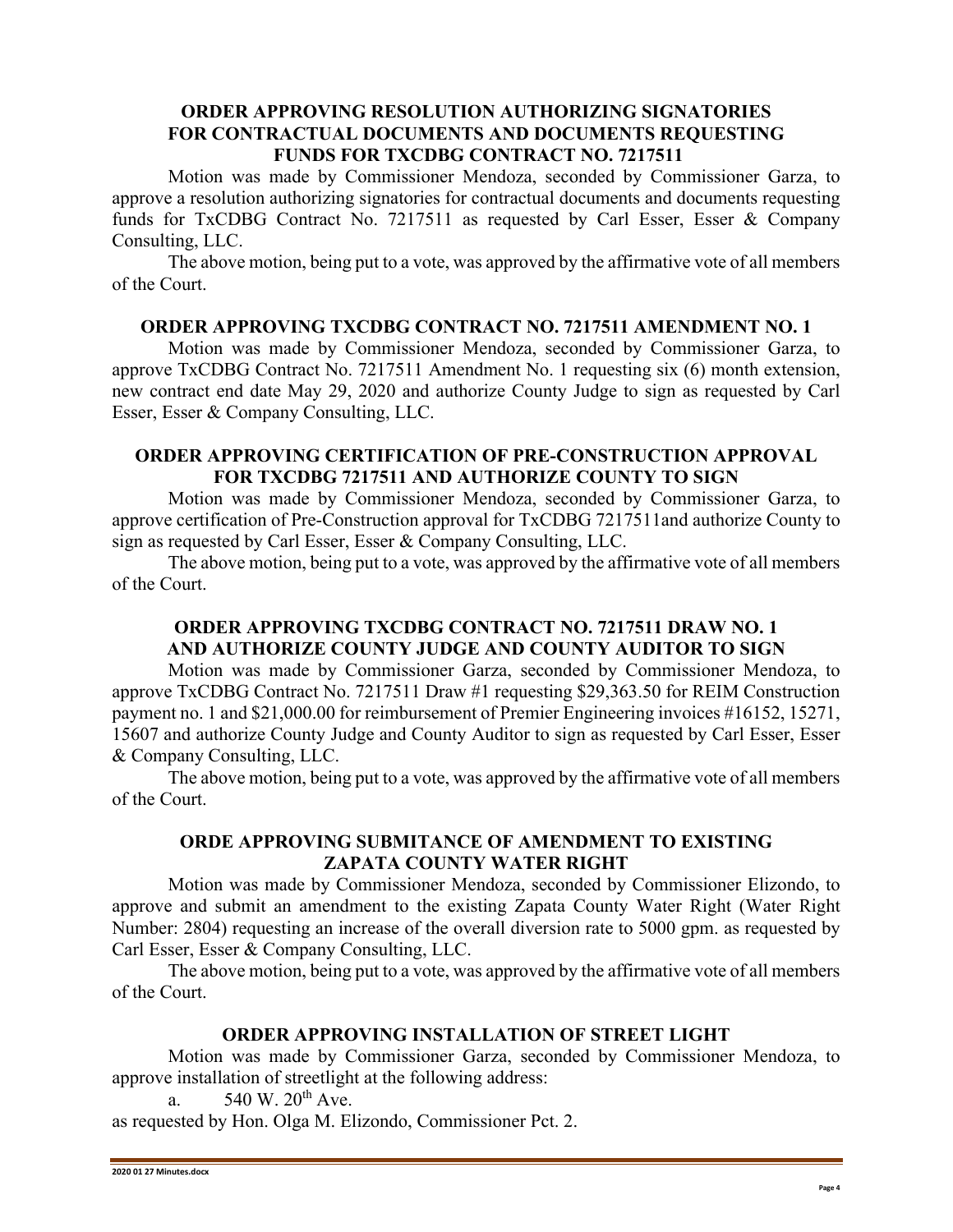### **ORDER APPROVING RESOLUTION AUTHORIZING SIGNATORIES FOR CONTRACTUAL DOCUMENTS AND DOCUMENTS REQUESTING FUNDS FOR TXCDBG CONTRACT NO. 7217511**

Motion was made by Commissioner Mendoza, seconded by Commissioner Garza, to approve a resolution authorizing signatories for contractual documents and documents requesting funds for TxCDBG Contract No. 7217511 as requested by Carl Esser, Esser & Company Consulting, LLC.

The above motion, being put to a vote, was approved by the affirmative vote of all members of the Court.

#### **ORDER APPROVING TXCDBG CONTRACT NO. 7217511 AMENDMENT NO. 1**

Motion was made by Commissioner Mendoza, seconded by Commissioner Garza, to approve TxCDBG Contract No. 7217511 Amendment No. 1 requesting six (6) month extension, new contract end date May 29, 2020 and authorize County Judge to sign as requested by Carl Esser, Esser & Company Consulting, LLC.

## **ORDER APPROVING CERTIFICATION OF PRE-CONSTRUCTION APPROVAL FOR TXCDBG 7217511 AND AUTHORIZE COUNTY TO SIGN**

Motion was made by Commissioner Mendoza, seconded by Commissioner Garza, to approve certification of Pre-Construction approval for TxCDBG 7217511and authorize County to sign as requested by Carl Esser, Esser & Company Consulting, LLC.

The above motion, being put to a vote, was approved by the affirmative vote of all members of the Court.

## **ORDER APPROVING TXCDBG CONTRACT NO. 7217511 DRAW NO. 1 AND AUTHORIZE COUNTY JUDGE AND COUNTY AUDITOR TO SIGN**

Motion was made by Commissioner Garza, seconded by Commissioner Mendoza, to approve TxCDBG Contract No. 7217511 Draw #1 requesting \$29,363.50 for REIM Construction payment no. 1 and \$21,000.00 for reimbursement of Premier Engineering invoices #16152, 15271, 15607 and authorize County Judge and County Auditor to sign as requested by Carl Esser, Esser & Company Consulting, LLC.

The above motion, being put to a vote, was approved by the affirmative vote of all members of the Court.

#### **ORDE APPROVING SUBMITANCE OF AMENDMENT TO EXISTING ZAPATA COUNTY WATER RIGHT**

Motion was made by Commissioner Mendoza, seconded by Commissioner Elizondo, to approve and submit an amendment to the existing Zapata County Water Right (Water Right Number: 2804) requesting an increase of the overall diversion rate to 5000 gpm. as requested by Carl Esser, Esser & Company Consulting, LLC.

The above motion, being put to a vote, was approved by the affirmative vote of all members of the Court.

#### **ORDER APPROVING INSTALLATION OF STREET LIGHT**

Motion was made by Commissioner Garza, seconded by Commissioner Mendoza, to approve installation of streetlight at the following address:

a.  $540 \text{ W}$ .  $20^{\text{th}}$  Ave.

as requested by Hon. Olga M. Elizondo, Commissioner Pct. 2.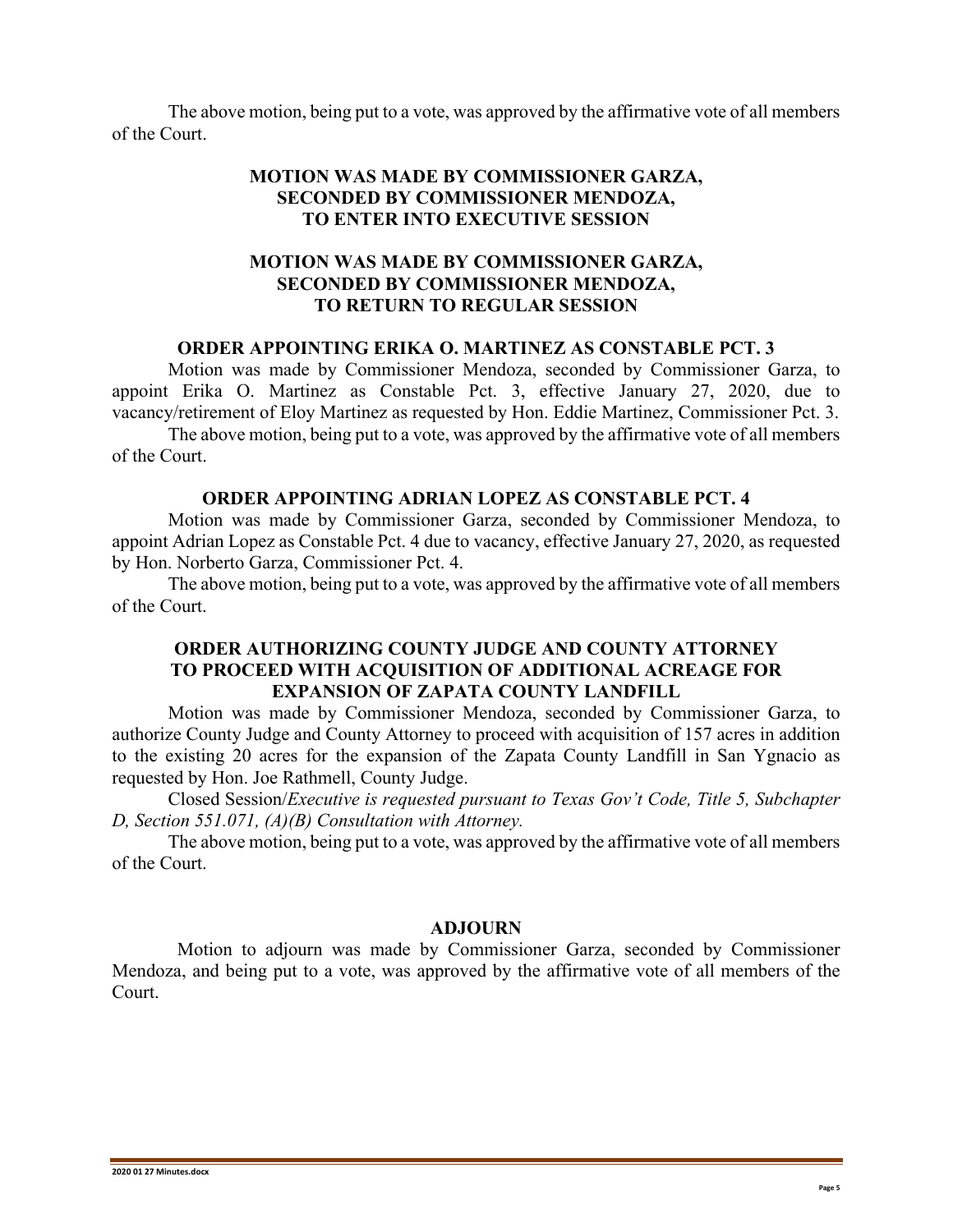The above motion, being put to a vote, was approved by the affirmative vote of all members of the Court.

### **MOTION WAS MADE BY COMMISSIONER GARZA, SECONDED BY COMMISSIONER MENDOZA, TO ENTER INTO EXECUTIVE SESSION**

### **MOTION WAS MADE BY COMMISSIONER GARZA, SECONDED BY COMMISSIONER MENDOZA, TO RETURN TO REGULAR SESSION**

#### **ORDER APPOINTING ERIKA O. MARTINEZ AS CONSTABLE PCT. 3**

Motion was made by Commissioner Mendoza, seconded by Commissioner Garza, to appoint Erika O. Martinez as Constable Pct. 3, effective January 27, 2020, due to vacancy/retirement of Eloy Martinez as requested by Hon. Eddie Martinez, Commissioner Pct. 3.

The above motion, being put to a vote, was approved by the affirmative vote of all members of the Court.

#### **ORDER APPOINTING ADRIAN LOPEZ AS CONSTABLE PCT. 4**

Motion was made by Commissioner Garza, seconded by Commissioner Mendoza, to appoint Adrian Lopez as Constable Pct. 4 due to vacancy, effective January 27, 2020, as requested by Hon. Norberto Garza, Commissioner Pct. 4.

The above motion, being put to a vote, was approved by the affirmative vote of all members of the Court.

#### **ORDER AUTHORIZING COUNTY JUDGE AND COUNTY ATTORNEY TO PROCEED WITH ACQUISITION OF ADDITIONAL ACREAGE FOR EXPANSION OF ZAPATA COUNTY LANDFILL**

Motion was made by Commissioner Mendoza, seconded by Commissioner Garza, to authorize County Judge and County Attorney to proceed with acquisition of 157 acres in addition to the existing 20 acres for the expansion of the Zapata County Landfill in San Ygnacio as requested by Hon. Joe Rathmell, County Judge.

Closed Session/*Executive is requested pursuant to Texas Gov't Code, Title 5, Subchapter D, Section 551.071, (A)(B) Consultation with Attorney.*

The above motion, being put to a vote, was approved by the affirmative vote of all members of the Court.

#### **ADJOURN**

 Motion to adjourn was made by Commissioner Garza, seconded by Commissioner Mendoza, and being put to a vote, was approved by the affirmative vote of all members of the Court.